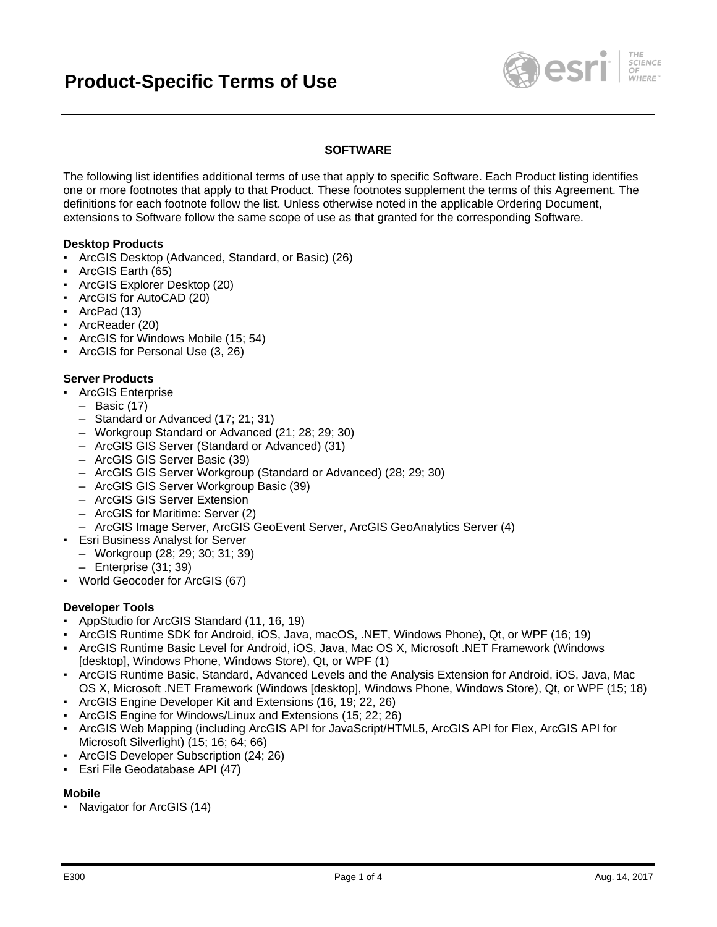

# **SOFTWARE**

The following list identifies additional terms of use that apply to specific Software. Each Product listing identifies one or more footnotes that apply to that Product. These footnotes supplement the terms of this Agreement. The definitions for each footnote follow the list. Unless otherwise noted in the applicable Ordering Document, extensions to Software follow the same scope of use as that granted for the corresponding Software.

### **Desktop Products**

- ArcGIS Desktop (Advanced, Standard, or Basic) (26)
- ArcGIS Earth (65)
- ArcGIS Explorer Desktop (20)
- ArcGIS for AutoCAD (20)
- ArcPad (13)
- ArcReader (20)
- ArcGIS for Windows Mobile (15; 54)
- ArcGIS for Personal Use (3, 26)

### **Server Products**

- ArcGIS Enterprise
	- Basic (17)
	- Standard or Advanced (17; 21; 31)
	- Workgroup Standard or Advanced (21; 28; 29; 30)
	- ArcGIS GIS Server (Standard or Advanced) (31)
	- ArcGIS GIS Server Basic (39)
	- ArcGIS GIS Server Workgroup (Standard or Advanced) (28; 29; 30)
	- ArcGIS GIS Server Workgroup Basic (39)
	- ArcGIS GIS Server Extension
	- ArcGIS for Maritime: Server (2)
	- ArcGIS Image Server, ArcGIS GeoEvent Server, ArcGIS GeoAnalytics Server (4)
- Esri Business Analyst for Server
	- Workgroup (28; 29; 30; 31; 39)
		- Enterprise (31; 39)
- World Geocoder for ArcGIS (67)

#### **Developer Tools**

- AppStudio for ArcGIS Standard (11, 16, 19)
- ArcGIS Runtime SDK for Android, iOS, Java, macOS, .NET, Windows Phone), Qt, or WPF (16; 19)
- ArcGIS Runtime Basic Level for Android, iOS, Java, Mac OS X, Microsoft .NET Framework (Windows [desktop], Windows Phone, Windows Store), Qt, or WPF (1)
- ArcGIS Runtime Basic, Standard, Advanced Levels and the Analysis Extension for Android, iOS, Java, Mac OS X, Microsoft .NET Framework (Windows [desktop], Windows Phone, Windows Store), Qt, or WPF (15; 18)
- ArcGIS Engine Developer Kit and Extensions (16, 19; 22, 26)
- ArcGIS Engine for Windows/Linux and Extensions (15; 22; 26)
- ArcGIS Web Mapping (including ArcGIS API for JavaScript/HTML5, ArcGIS API for Flex, ArcGIS API for Microsoft Silverlight) (15; 16; 64; 66)
- ArcGIS Developer Subscription (24; 26)
- Esri File Geodatabase API (47)

#### **Mobile**

▪ Navigator for ArcGIS (14)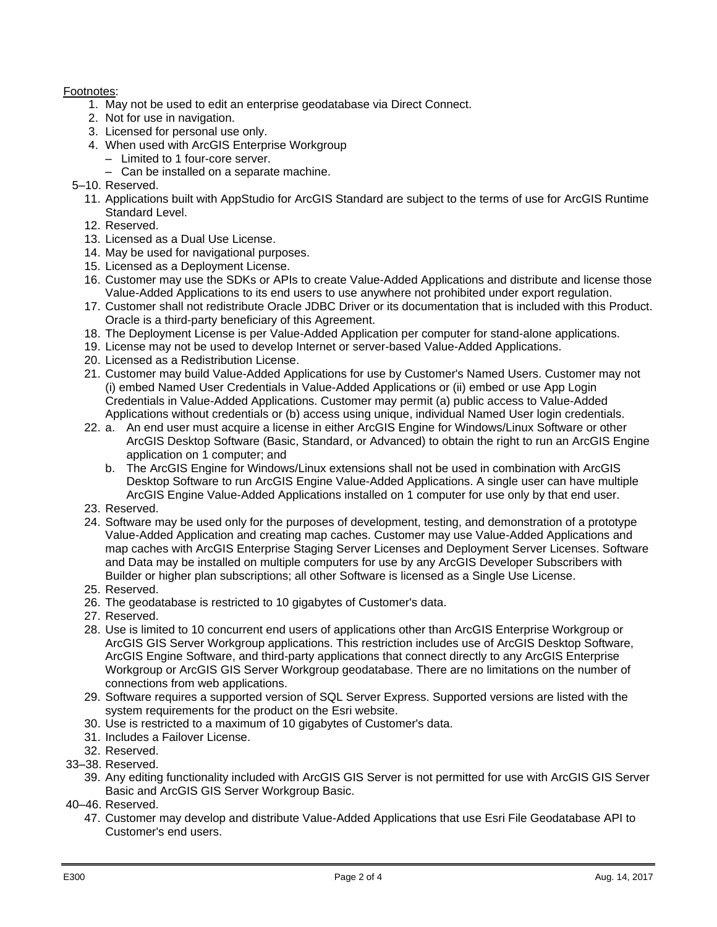# Footnotes:

- 1. May not be used to edit an enterprise geodatabase via Direct Connect.
- 2. Not for use in navigation.
- 3. Licensed for personal use only.
- 4. When used with ArcGIS Enterprise Workgroup
	- Limited to 1 four-core server.
	- Can be installed on a separate machine.
- 5–10. Reserved.
	- 11. Applications built with AppStudio for ArcGIS Standard are subject to the terms of use for ArcGIS Runtime Standard Level.
	- 12. Reserved.
	- 13. Licensed as a Dual Use License.
	- 14. May be used for navigational purposes.
	- 15. Licensed as a Deployment License.
	- 16. Customer may use the SDKs or APIs to create Value-Added Applications and distribute and license those Value-Added Applications to its end users to use anywhere not prohibited under export regulation.
	- 17. Customer shall not redistribute Oracle JDBC Driver or its documentation that is included with this Product. Oracle is a third-party beneficiary of this Agreement.
	- 18. The Deployment License is per Value-Added Application per computer for stand-alone applications.
	- 19. License may not be used to develop Internet or server-based Value-Added Applications.
	- 20. Licensed as a Redistribution License.
	- 21. Customer may build Value-Added Applications for use by Customer's Named Users. Customer may not (i) embed Named User Credentials in Value-Added Applications or (ii) embed or use App Login Credentials in Value-Added Applications. Customer may permit (a) public access to Value-Added Applications without credentials or (b) access using unique, individual Named User login credentials.
	- 22. a. An end user must acquire a license in either ArcGIS Engine for Windows/Linux Software or other ArcGIS Desktop Software (Basic, Standard, or Advanced) to obtain the right to run an ArcGIS Engine application on 1 computer; and
		- b. The ArcGIS Engine for Windows/Linux extensions shall not be used in combination with ArcGIS Desktop Software to run ArcGIS Engine Value-Added Applications. A single user can have multiple ArcGIS Engine Value-Added Applications installed on 1 computer for use only by that end user.
	- 23. Reserved.
	- 24. Software may be used only for the purposes of development, testing, and demonstration of a prototype Value-Added Application and creating map caches. Customer may use Value-Added Applications and map caches with ArcGIS Enterprise Staging Server Licenses and Deployment Server Licenses. Software and Data may be installed on multiple computers for use by any ArcGIS Developer Subscribers with Builder or higher plan subscriptions; all other Software is licensed as a Single Use License.
	- 25. Reserved.
	- 26. The geodatabase is restricted to 10 gigabytes of Customer's data.
	- 27. Reserved.
	- 28. Use is limited to 10 concurrent end users of applications other than ArcGIS Enterprise Workgroup or ArcGIS GIS Server Workgroup applications. This restriction includes use of ArcGIS Desktop Software, ArcGIS Engine Software, and third-party applications that connect directly to any ArcGIS Enterprise Workgroup or ArcGIS GIS Server Workgroup geodatabase. There are no limitations on the number of connections from web applications.
	- 29. Software requires a supported version of SQL Server Express. Supported versions are listed with the system requirements for the product on the Esri website.
	- 30. Use is restricted to a maximum of 10 gigabytes of Customer's data.
	- 31. Includes a Failover License.
- 32. Reserved.
- 33–38. Reserved.
	- 39. Any editing functionality included with ArcGIS GIS Server is not permitted for use with ArcGIS GIS Server Basic and ArcGIS GIS Server Workgroup Basic.
- 40–46. Reserved.
	- 47. Customer may develop and distribute Value-Added Applications that use Esri File Geodatabase API to Customer's end users.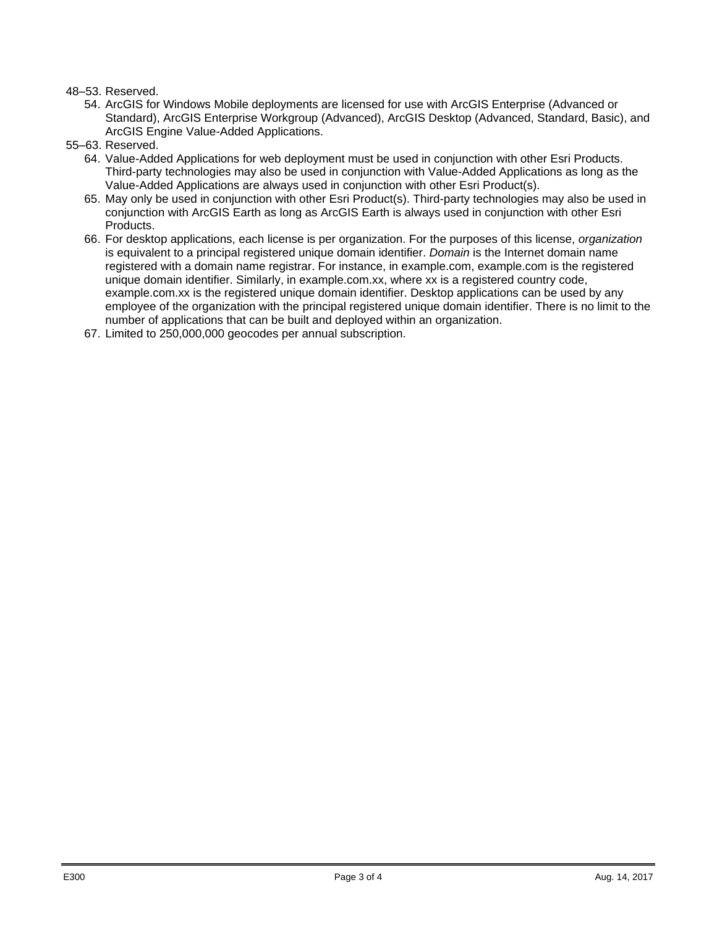## 48–53. Reserved.

- 54. ArcGIS for Windows Mobile deployments are licensed for use with ArcGIS Enterprise (Advanced or Standard), ArcGIS Enterprise Workgroup (Advanced), ArcGIS Desktop (Advanced, Standard, Basic), and ArcGIS Engine Value-Added Applications.
- 55–63. Reserved.
	- 64. Value-Added Applications for web deployment must be used in conjunction with other Esri Products. Third-party technologies may also be used in conjunction with Value-Added Applications as long as the Value-Added Applications are always used in conjunction with other Esri Product(s).
	- 65. May only be used in conjunction with other Esri Product(s). Third-party technologies may also be used in conjunction with ArcGIS Earth as long as ArcGIS Earth is always used in conjunction with other Esri Products.
	- 66. For desktop applications, each license is per organization. For the purposes of this license, *organization*  is equivalent to a principal registered unique domain identifier. *Domain* is the Internet domain name registered with a domain name registrar. For instance, in example.com, example.com is the registered unique domain identifier. Similarly, in example.com.xx, where xx is a registered country code, example.com.xx is the registered unique domain identifier. Desktop applications can be used by any employee of the organization with the principal registered unique domain identifier. There is no limit to the number of applications that can be built and deployed within an organization.
	- 67. Limited to 250,000,000 geocodes per annual subscription.